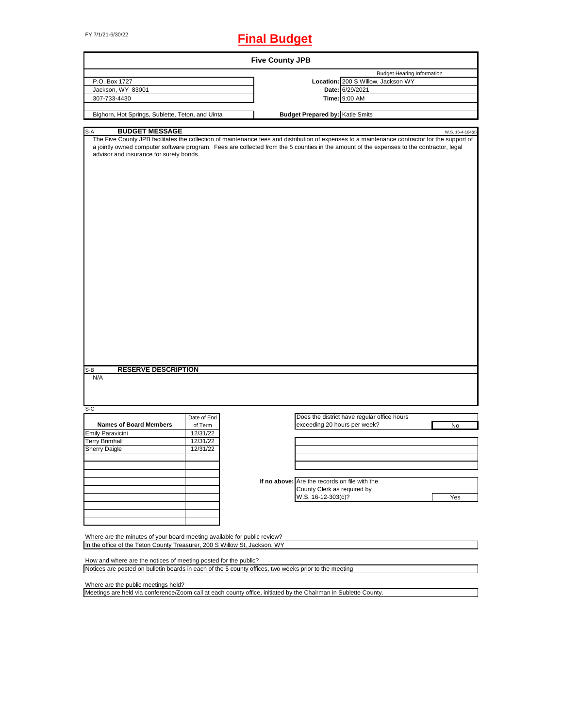# FY 7/1/21-6/30/22 **Final Budget**

| <b>Five County JPB</b>                                                                                                                                |                     |  |                                                   |                                                                                                                                                                                                                                                                                            |                  |
|-------------------------------------------------------------------------------------------------------------------------------------------------------|---------------------|--|---------------------------------------------------|--------------------------------------------------------------------------------------------------------------------------------------------------------------------------------------------------------------------------------------------------------------------------------------------|------------------|
| P.O. Box 1727<br>Jackson, WY 83001                                                                                                                    |                     |  |                                                   | <b>Budget Hearing Information</b><br>Location: 200 S Willow, Jackson WY<br>Date: 6/29/2021                                                                                                                                                                                                 |                  |
| 307-733-4430                                                                                                                                          |                     |  |                                                   | Time: 9:00 AM                                                                                                                                                                                                                                                                              |                  |
|                                                                                                                                                       |                     |  |                                                   |                                                                                                                                                                                                                                                                                            |                  |
| Bighorn, Hot Springs, Sublette, Teton, and Uinta                                                                                                      |                     |  | <b>Budget Prepared by: Katie Smits</b>            |                                                                                                                                                                                                                                                                                            |                  |
|                                                                                                                                                       |                     |  |                                                   |                                                                                                                                                                                                                                                                                            |                  |
| <b>BUDGET MESSAGE</b><br>$S-A$<br>advisor and insurance for surety bonds.                                                                             |                     |  |                                                   | The Five County JPB facilitates the collection of maintenance fees and distribution of expenses to a maintenance contractor for the support of<br>a jointly owned computer software program. Fees are collected from the 5 counties in the amount of the expenses to the contractor, legal | W.S. 16-4-104(d) |
| <b>RESERVE DESCRIPTION</b><br>S-B<br>N/A                                                                                                              |                     |  |                                                   |                                                                                                                                                                                                                                                                                            |                  |
|                                                                                                                                                       |                     |  |                                                   |                                                                                                                                                                                                                                                                                            |                  |
| $S-C$                                                                                                                                                 |                     |  |                                                   |                                                                                                                                                                                                                                                                                            |                  |
| <b>Names of Board Members</b>                                                                                                                         | Date of End         |  | exceeding 20 hours per week?                      | Does the district have regular office hours                                                                                                                                                                                                                                                |                  |
| Emily Paravicini                                                                                                                                      | of Term<br>12/31/22 |  |                                                   |                                                                                                                                                                                                                                                                                            | No               |
| <b>Terry Brimhall</b>                                                                                                                                 | 12/31/22            |  |                                                   |                                                                                                                                                                                                                                                                                            |                  |
| Sherry Daigle                                                                                                                                         | 12/31/22            |  |                                                   |                                                                                                                                                                                                                                                                                            |                  |
|                                                                                                                                                       |                     |  |                                                   |                                                                                                                                                                                                                                                                                            |                  |
|                                                                                                                                                       |                     |  |                                                   |                                                                                                                                                                                                                                                                                            |                  |
|                                                                                                                                                       |                     |  |                                                   |                                                                                                                                                                                                                                                                                            |                  |
|                                                                                                                                                       |                     |  |                                                   |                                                                                                                                                                                                                                                                                            |                  |
|                                                                                                                                                       |                     |  |                                                   |                                                                                                                                                                                                                                                                                            |                  |
|                                                                                                                                                       |                     |  | If no above: Are the records on file with the     |                                                                                                                                                                                                                                                                                            |                  |
|                                                                                                                                                       |                     |  | County Clerk as required by<br>W.S. 16-12-303(c)? |                                                                                                                                                                                                                                                                                            | Yes              |
|                                                                                                                                                       |                     |  |                                                   |                                                                                                                                                                                                                                                                                            |                  |
|                                                                                                                                                       |                     |  |                                                   |                                                                                                                                                                                                                                                                                            |                  |
|                                                                                                                                                       |                     |  |                                                   |                                                                                                                                                                                                                                                                                            |                  |
|                                                                                                                                                       |                     |  |                                                   |                                                                                                                                                                                                                                                                                            |                  |
| Where are the minutes of your board meeting available for public review?<br>In the office of the Teton County Treasurer, 200 S Willow St, Jackson, WY |                     |  |                                                   |                                                                                                                                                                                                                                                                                            |                  |
|                                                                                                                                                       |                     |  |                                                   |                                                                                                                                                                                                                                                                                            |                  |
| How and where are the notices of meeting posted for the public?                                                                                       |                     |  |                                                   |                                                                                                                                                                                                                                                                                            |                  |
| Notices are posted on bulletin boards in each of the 5 county offices, two weeks prior to the meeting                                                 |                     |  |                                                   |                                                                                                                                                                                                                                                                                            |                  |

Meetings are held via conference/Zoom call at each county office, initiated by the Chairman in Sublette County.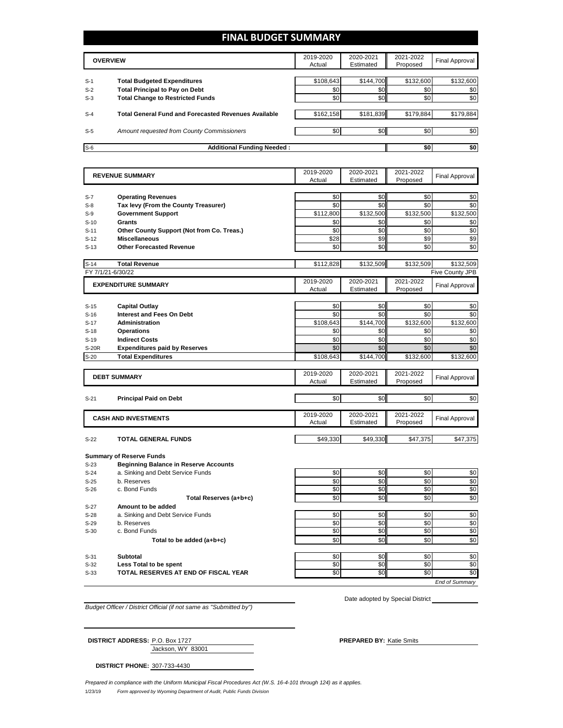# **FINAL BUDGET SUMMARY**

|       | <b>OVERVIEW</b>                                             | 2019-2020<br>Actual | 2020-2021<br>Estimated | 2021-2022<br>Proposed | Final Approval |
|-------|-------------------------------------------------------------|---------------------|------------------------|-----------------------|----------------|
|       |                                                             |                     |                        |                       |                |
| $S-1$ | <b>Total Budgeted Expenditures</b>                          | \$108,643           | \$144,700              | \$132,600             | \$132,600      |
| $S-2$ | <b>Total Principal to Pay on Debt</b>                       | \$0                 | \$0                    | \$0                   | \$0            |
| $S-3$ | <b>Total Change to Restricted Funds</b>                     | \$0                 | \$0                    | \$0                   | \$0            |
|       |                                                             |                     |                        |                       |                |
| $S-4$ | <b>Total General Fund and Forecasted Revenues Available</b> | \$162,158           | \$181,839              | \$179,884             | \$179,884      |
|       |                                                             |                     |                        |                       |                |
| $S-5$ | <b>Amount requested from County Commissioners</b>           | \$0                 | \$0 <sub>1</sub>       | \$0                   | \$0            |
|       |                                                             |                     |                        |                       |                |
| $S-6$ | <b>Additional Funding Needed:</b>                           |                     |                        | \$0                   | \$0            |

|                   | <b>REVENUE SUMMARY</b>                       | 2019-2020           | 2020-2021              | 2021-2022             | <b>Final Approval</b> |
|-------------------|----------------------------------------------|---------------------|------------------------|-----------------------|-----------------------|
|                   |                                              | Actual              | Estimated              | Proposed              |                       |
|                   |                                              |                     |                        |                       |                       |
| $S-7$             | <b>Operating Revenues</b>                    | \$0                 | \$0                    | \$0                   | \$0                   |
| $S-8$             | Tax levy (From the County Treasurer)         | \$0                 | \$0                    | \$0                   | \$0                   |
| $S-9$             | <b>Government Support</b>                    | \$112,800           | \$132,500              | \$132,500             | \$132,500             |
| $S-10$            | <b>Grants</b>                                | \$0                 | \$0                    | \$0                   | \$0                   |
| $S-11$            | Other County Support (Not from Co. Treas.)   | \$0                 | \$0                    | \$0                   | \$0                   |
| $S-12$            | <b>Miscellaneous</b>                         | \$28                | \$9                    | \$9                   | \$9                   |
| $S-13$            | <b>Other Forecasted Revenue</b>              | \$0                 | \$0                    | \$0                   | \$0                   |
| $S-14$            | <b>Total Revenue</b>                         | \$112,828           | \$132,509              | \$132,509             | \$132,509             |
| FY 7/1/21-6/30/22 |                                              |                     |                        |                       | Five County JPB       |
|                   | <b>EXPENDITURE SUMMARY</b>                   | 2019-2020           | 2020-2021              | 2021-2022             |                       |
|                   |                                              | Actual              | Estimated              | Proposed              | <b>Final Approval</b> |
|                   |                                              |                     |                        |                       |                       |
| $S-15$            | <b>Capital Outlay</b>                        | \$0                 | \$0                    | \$0                   | \$0                   |
| $S-16$            | <b>Interest and Fees On Debt</b>             | \$0                 | \$0                    | \$0                   | \$0                   |
| $S-17$            | <b>Administration</b>                        | \$108,643           | \$144,700              | \$132,600             | \$132,600             |
| $S-18$            | <b>Operations</b>                            | \$0                 | \$0                    | \$0                   | \$0                   |
| $S-19$            | <b>Indirect Costs</b>                        | \$0                 | \$0                    | \$0                   | \$0                   |
| <b>S-20R</b>      | <b>Expenditures paid by Reserves</b>         | \$0                 | \$0                    | \$0                   | \$0                   |
| $S-20$            | <b>Total Expenditures</b>                    | \$108,643           | \$144,700              | \$132,600             | \$132,600             |
|                   |                                              |                     |                        |                       |                       |
|                   | <b>DEBT SUMMARY</b>                          | 2019-2020           | 2020-2021              | 2021-2022             | <b>Final Approval</b> |
|                   |                                              | Actual              | Estimated              | Proposed              |                       |
|                   |                                              |                     |                        |                       |                       |
| $S-21$            | <b>Principal Paid on Debt</b>                | \$0                 | \$0                    | \$0                   | \$0                   |
|                   |                                              |                     |                        |                       |                       |
|                   | <b>CASH AND INVESTMENTS</b>                  | 2019-2020<br>Actual | 2020-2021<br>Estimated | 2021-2022<br>Proposed | <b>Final Approval</b> |
|                   |                                              |                     |                        |                       |                       |
| $S-22$            | <b>TOTAL GENERAL FUNDS</b>                   | \$49,330            | \$49,330               | \$47,375              | \$47,375              |
|                   |                                              |                     |                        |                       |                       |
|                   | <b>Summary of Reserve Funds</b>              |                     |                        |                       |                       |
| $S-23$            | <b>Beginning Balance in Reserve Accounts</b> |                     |                        |                       |                       |
| $S-24$            | a. Sinking and Debt Service Funds            | \$0                 | \$0                    | \$0                   | \$0                   |
| $S-25$            | b. Reserves                                  | \$0                 | \$0                    | \$0                   | \$0                   |
| $S-26$            | c. Bond Funds                                | \$0                 | \$0                    | \$0                   | \$0                   |
|                   |                                              |                     |                        |                       |                       |
|                   | Total Reserves (a+b+c)                       | \$0                 | \$0                    | \$0                   |                       |
| $S-27$            | Amount to be added                           |                     |                        |                       |                       |
| $S-28$            | a. Sinking and Debt Service Funds            | \$0                 | \$0                    | \$0                   | \$0<br>\$0            |
| $S-29$            | b. Reserves                                  | \$0                 | \$0                    | \$0                   |                       |
| $S-30$            | c. Bond Funds                                | \$0                 | \$0                    | \$0                   | \$0<br>\$0            |
|                   | Total to be added (a+b+c)                    | \$0                 | \$0                    | \$0                   |                       |
|                   |                                              |                     |                        |                       |                       |
| $S-31$            | <b>Subtotal</b>                              | \$0                 | \$0                    | \$0                   |                       |
| $S-32$            | Less Total to be spent                       | \$0                 | \$0                    | \$0                   | \$0<br>\$0<br>\$0     |
| $S-33$            | TOTAL RESERVES AT END OF FISCAL YEAR         | \$0                 | $\overline{50}$        | $\overline{50}$       | \$0                   |

*Budget Officer / District Official (if not same as "Submitted by")*

Date adopted by Special District

| <b>DISTRICT ADDRESS: P.O. Box 1727</b> |                   | <b>PREPARED BY: Katie Smits</b> |
|----------------------------------------|-------------------|---------------------------------|
|                                        | Jackson, WY 83001 |                                 |

**DISTRICT PHONE:** 307-733-4430

1/23/19 *Form approved by Wyoming Department of Audit, Public Funds Division Prepared in compliance with the Uniform Municipal Fiscal Procedures Act (W.S. 16-4-101 through 124) as it applies.*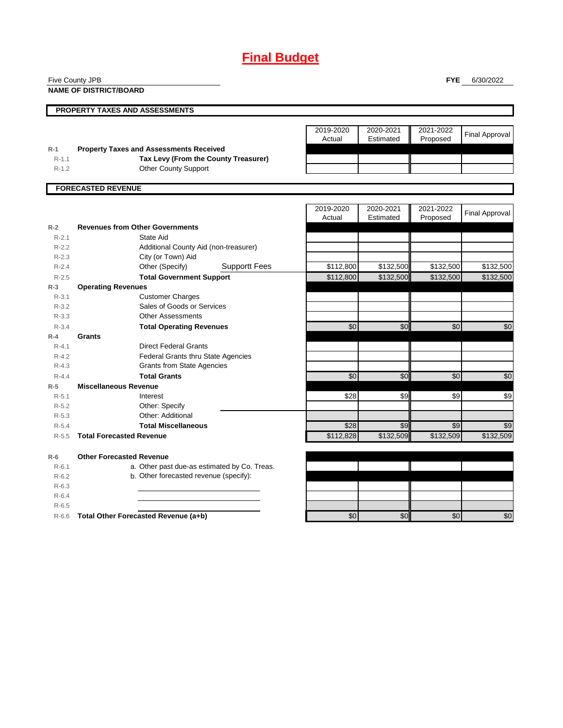# **Final Budget**

Five County JPB

**NAME OF DISTRICT/BOARD**

**FYE** 6/30/2022

| PROPERTY TAXES AND ASSESSMENTS |                                                |           |           |           |                       |
|--------------------------------|------------------------------------------------|-----------|-----------|-----------|-----------------------|
|                                |                                                |           |           |           |                       |
|                                |                                                | 2019-2020 | 2020-2021 | 2021-2022 | <b>Final Approval</b> |
|                                |                                                | Actual    | Estimated | Proposed  |                       |
| $R-1$                          | <b>Property Taxes and Assessments Received</b> |           |           |           |                       |
| $R-1.1$                        | Tax Levy (From the County Treasurer)           |           |           |           |                       |
| $R-1.2$                        | <b>Other County Support</b>                    |           |           |           |                       |
|                                |                                                |           |           |           |                       |
|                                | <b>FORECASTED REVENUE</b>                      |           |           |           |                       |
|                                |                                                |           |           |           |                       |
|                                |                                                | 2019-2020 | 2020-2021 | 2021-2022 | <b>Final Approval</b> |
|                                |                                                | Actual    | Estimated | Proposed  |                       |
| $R-2$                          | <b>Revenues from Other Governments</b>         |           |           |           |                       |
| $R - 2.1$                      | State Aid                                      |           |           |           |                       |
| $R-22$                         | Additional County Aid (non-treasurer)          |           |           |           |                       |

| $R-2.1$   | State Aid                                    |           |           |           |           |
|-----------|----------------------------------------------|-----------|-----------|-----------|-----------|
| $R - 2.2$ | Additional County Aid (non-treasurer)        |           |           |           |           |
| $R - 2.3$ | City (or Town) Aid                           |           |           |           |           |
| $R - 2.4$ | <b>Supportt Fees</b><br>Other (Specify)      | \$112,800 | \$132,500 | \$132,500 | \$132,500 |
| $R - 2.5$ | <b>Total Government Support</b>              | \$112,800 | \$132,500 | \$132,500 | \$132,500 |
| $R-3$     | <b>Operating Revenues</b>                    |           |           |           |           |
| $R - 3.1$ | <b>Customer Charges</b>                      |           |           |           |           |
| $R-3.2$   | Sales of Goods or Services                   |           |           |           |           |
| $R - 3.3$ | <b>Other Assessments</b>                     |           |           |           |           |
| $R - 3.4$ | <b>Total Operating Revenues</b>              | \$0       | \$0       | \$0       | \$0       |
| $R-4$     | Grants                                       |           |           |           |           |
| $R - 4.1$ | <b>Direct Federal Grants</b>                 |           |           |           |           |
| $R - 4.2$ | <b>Federal Grants thru State Agencies</b>    |           |           |           |           |
| $R - 4.3$ | <b>Grants from State Agencies</b>            |           |           |           |           |
| $R - 4.4$ | <b>Total Grants</b>                          | \$0       | \$0       | \$0       | \$0       |
| $R-5$     | <b>Miscellaneous Revenue</b>                 |           |           |           |           |
| $R - 5.1$ | Interest                                     | \$28      | \$9       | \$9       | \$9       |
| $R-5.2$   | Other: Specify                               |           |           |           |           |
| $R - 5.3$ | Other: Additional                            |           |           |           |           |
| $R - 5.4$ | <b>Total Miscellaneous</b>                   | \$28      | \$9       | \$9       | \$9       |
| $R - 5.5$ | <b>Total Forecasted Revenue</b>              | \$112,828 | \$132,509 | \$132,509 | \$132,509 |
| $R-6$     | <b>Other Forecasted Revenue</b>              |           |           |           |           |
| $R - 6.1$ | a. Other past due-as estimated by Co. Treas. |           |           |           |           |
| $R-6.2$   | b. Other forecasted revenue (specify):       |           |           |           |           |
| $R - 6.3$ |                                              |           |           |           |           |
| $R-6.4$   |                                              |           |           |           |           |
| $R - 6.5$ |                                              |           |           |           |           |
| $R-6.6$   | Total Other Forecasted Revenue (a+b)         | \$0       | \$0       | \$0       | \$0       |
|           |                                              |           |           |           |           |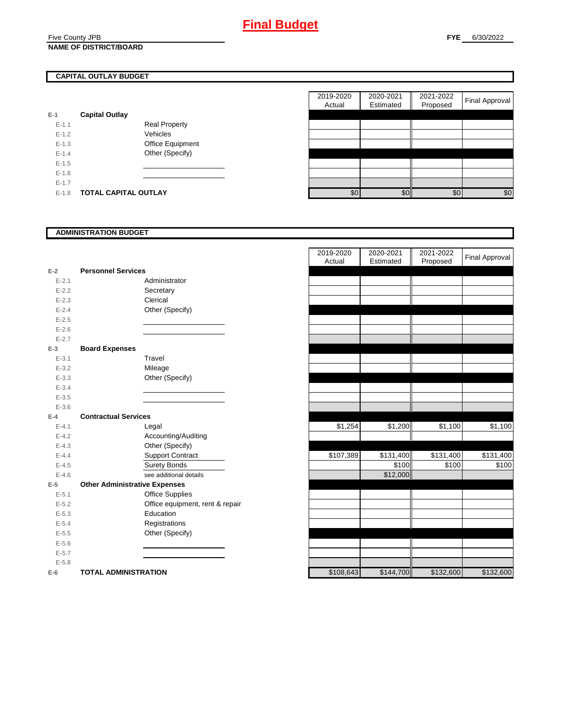#### Five County JPB **NAME OF DISTRICT/BOARD**

# **CAPITAL OUTLAY BUDGET**

| E-1       | <b>Capital Outlay</b> |                         |
|-----------|-----------------------|-------------------------|
| $E - 1.1$ |                       | <b>Real Property</b>    |
| $F-12$    |                       | Vehicles                |
| $F-1.3$   |                       | <b>Office Equipment</b> |
| $F-14$    |                       | Other (Specify)         |
| $F-1.5$   |                       |                         |
| $E - 1.6$ |                       |                         |
| $E - 1.7$ |                       |                         |
| E-1.8     | TOTAL CAPITAL OUTLAY  |                         |

|           |                             |                      | 2019-2020<br>Actual | 2020-2021<br>Estimated | 2021-2022<br>Proposed | <b>Final Approval</b> |
|-----------|-----------------------------|----------------------|---------------------|------------------------|-----------------------|-----------------------|
|           | <b>Capital Outlay</b>       |                      |                     |                        |                       |                       |
| $E-1.1$   |                             | <b>Real Property</b> |                     |                        |                       |                       |
| $E-1.2$   |                             | Vehicles             |                     |                        |                       |                       |
| $E-1.3$   |                             | Office Equipment     |                     |                        |                       |                       |
| $E - 1.4$ |                             | Other (Specify)      |                     |                        |                       |                       |
| $E-1.5$   |                             |                      |                     |                        |                       |                       |
| $E-1.6$   |                             |                      |                     |                        |                       |                       |
| $E - 1.7$ |                             |                      |                     |                        |                       |                       |
| $E-1.8$   | <b>TOTAL CAPITAL OUTLAY</b> |                      | \$0                 | \$0                    | \$0                   | \$0                   |
|           |                             |                      |                     |                        |                       |                       |

#### **ADMINISTRATION BUDGET**

|           |                                      |                                 | Actual    | Estimated |
|-----------|--------------------------------------|---------------------------------|-----------|-----------|
| $E-2$     | <b>Personnel Services</b>            |                                 |           |           |
| $E - 2.1$ |                                      | Administrator                   |           |           |
| $E - 2.2$ |                                      | Secretary                       |           |           |
| $E - 2.3$ |                                      | Clerical                        |           |           |
| $E - 2.4$ |                                      | Other (Specify)                 |           |           |
| $E - 2.5$ |                                      |                                 |           |           |
| $E - 2.6$ |                                      |                                 |           |           |
| $E - 2.7$ |                                      |                                 |           |           |
| $E-3$     | <b>Board Expenses</b>                |                                 |           |           |
| $E - 3.1$ |                                      | Travel                          |           |           |
| $E - 3.2$ |                                      | Mileage                         |           |           |
| $E - 3.3$ |                                      | Other (Specify)                 |           |           |
| $E - 3.4$ |                                      |                                 |           |           |
| $E - 3.5$ |                                      |                                 |           |           |
| $E - 3.6$ |                                      |                                 |           |           |
| $E-4$     | <b>Contractual Services</b>          |                                 |           |           |
| $E - 4.1$ |                                      | Legal                           | \$1,254   | \$1,200   |
| $E - 4.2$ |                                      | Accounting/Auditing             |           |           |
| $E - 4.3$ |                                      | Other (Specify)                 |           |           |
| $E-4.4$   |                                      | <b>Support Contract</b>         | \$107,389 | \$131,400 |
| $E - 4.5$ |                                      | <b>Surety Bonds</b>             |           | \$100     |
| $E - 4.6$ |                                      | see additional details          |           | \$12,000  |
| $E-5$     | <b>Other Administrative Expenses</b> |                                 |           |           |
| $E - 5.1$ |                                      | <b>Office Supplies</b>          |           |           |
| $E - 5.2$ |                                      | Office equipment, rent & repair |           |           |
| $E - 5.3$ |                                      | Education                       |           |           |
| $E - 5.4$ |                                      | Registrations                   |           |           |
| $E - 5.5$ |                                      | Other (Specify)                 |           |           |
| $E - 5.6$ |                                      |                                 |           |           |
| $E - 5.7$ |                                      |                                 |           |           |
| $E - 5.8$ |                                      |                                 |           |           |
| $E-6$     | <b>TOTAL ADMINISTRATION</b>          |                                 | \$108,643 | \$144,700 |

|           |                                      | 2019-2020<br>Actual | 2020-2021<br>Estimated | 2021-2022<br>Proposed | <b>Final Approval</b> |
|-----------|--------------------------------------|---------------------|------------------------|-----------------------|-----------------------|
| $E-2$     | <b>Personnel Services</b>            |                     |                        |                       |                       |
| $E - 2.1$ | Administrator                        |                     |                        |                       |                       |
| $E - 2.2$ | Secretary                            |                     |                        |                       |                       |
| $E - 2.3$ | Clerical                             |                     |                        |                       |                       |
| $E - 2.4$ | Other (Specify)                      |                     |                        |                       |                       |
| $E - 2.5$ |                                      |                     |                        |                       |                       |
| $E - 2.6$ |                                      |                     |                        |                       |                       |
| $E - 2.7$ |                                      |                     |                        |                       |                       |
| $E-3$     | <b>Board Expenses</b>                |                     |                        |                       |                       |
| $E - 3.1$ | Travel                               |                     |                        |                       |                       |
| $E - 3.2$ | Mileage                              |                     |                        |                       |                       |
| $E - 3.3$ | Other (Specify)                      |                     |                        |                       |                       |
| $E - 3.4$ |                                      |                     |                        |                       |                       |
| $E - 3.5$ |                                      |                     |                        |                       |                       |
| $E - 3.6$ |                                      |                     |                        |                       |                       |
| $E-4$     | <b>Contractual Services</b>          |                     |                        |                       |                       |
| $E - 4.1$ | Legal                                | \$1,254             | \$1,200                | \$1,100               | \$1,100               |
| $E - 4.2$ | Accounting/Auditing                  |                     |                        |                       |                       |
| $E - 4.3$ | Other (Specify)                      |                     |                        |                       |                       |
| $E - 4.4$ | <b>Support Contract</b>              | \$107,389           | \$131,400              | \$131,400             | \$131,400             |
| $E-4.5$   | <b>Surety Bonds</b>                  |                     | \$100                  | \$100                 | \$100                 |
| $E - 4.6$ | see additional details               |                     | \$12,000               |                       |                       |
| $E-5$     | <b>Other Administrative Expenses</b> |                     |                        |                       |                       |
| $E - 5.1$ | <b>Office Supplies</b>               |                     |                        |                       |                       |
| $E - 5.2$ | Office equipment, rent & repair      |                     |                        |                       |                       |
| $E - 5.3$ | Education                            |                     |                        |                       |                       |
| $E - 5.4$ | Registrations                        |                     |                        |                       |                       |
| $E - 5.5$ | Other (Specify)                      |                     |                        |                       |                       |
| $E-5.6$   |                                      |                     |                        |                       |                       |
| $E - 5.7$ |                                      |                     |                        |                       |                       |
| $E - 5.8$ |                                      |                     |                        |                       |                       |
| $E-6$     | <b>TOTAL ADMINISTRATION</b>          | \$108,643           | \$144,700              | \$132,600             | \$132,600             |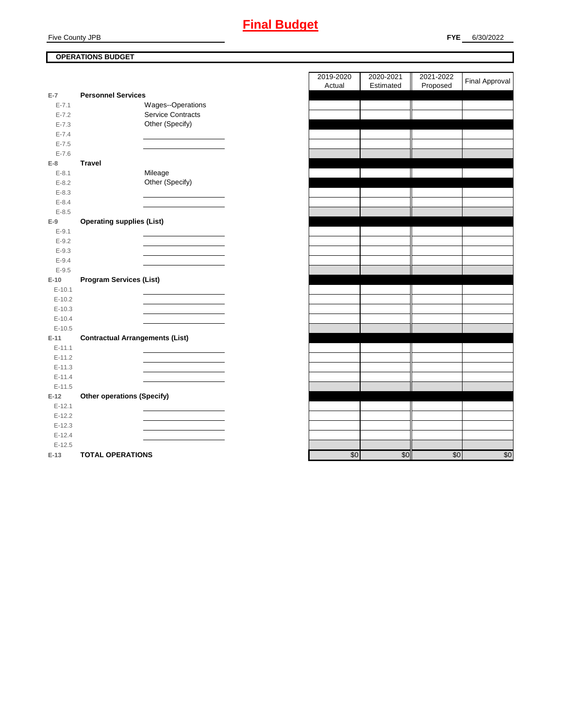## **FYE** 6/30/2022

# **OPERATIONS BUDGET**

| $E-7$              | <b>Personnel Services</b>              |                          |
|--------------------|----------------------------------------|--------------------------|
| $E - 7.1$          |                                        | Wages--Operations        |
| $E - 7.2$          |                                        | <b>Service Contracts</b> |
| $E - 7.3$          |                                        | Other (Specify)          |
| $E - 7.4$          |                                        |                          |
| $E - 7.5$          |                                        |                          |
| $E - 7.6$          |                                        |                          |
| $E-8$              | <b>Travel</b>                          |                          |
| $E - 8.1$          |                                        | Mileage                  |
| $E - 8.2$          |                                        | Other (Specify)          |
| $E - 8.3$          |                                        |                          |
| $E - 8.4$          |                                        |                          |
| $E - 8.5$          |                                        |                          |
| $E-9$              | <b>Operating supplies (List)</b>       |                          |
| $E-9.1$            |                                        |                          |
| $E - 9.2$          |                                        |                          |
| $E - 9.3$          |                                        |                          |
| $E - 9.4$          |                                        |                          |
| $E - 9.5$          |                                        |                          |
| $E-10$             | <b>Program Services (List)</b>         |                          |
| $E-10.1$           |                                        |                          |
| $E-10.2$           |                                        |                          |
| $E-10.3$           |                                        |                          |
|                    |                                        |                          |
| $E - 10.4$         |                                        |                          |
| $E - 10.5$         |                                        |                          |
| $E-11$             | <b>Contractual Arrangements (List)</b> |                          |
| $E - 11.1$         |                                        |                          |
| $E-11.2$           |                                        |                          |
| $E - 11.3$         |                                        |                          |
| $E-11.4$           |                                        |                          |
| $E-11.5$           |                                        |                          |
| $E-12$             | <b>Other operations (Specify)</b>      |                          |
| $E-12.1$           |                                        |                          |
| $E-12.2$           |                                        |                          |
| $E-12.3$           |                                        |                          |
| $E-12.4$           |                                        |                          |
| $E-12.5$<br>$E-13$ | <b>TOTAL OPERATIONS</b>                |                          |

| 2019-2020 | 2020-2021 | 2021-2022 | Final Approval |
|-----------|-----------|-----------|----------------|
| Actual    | Estimated | Proposed  |                |
|           |           |           |                |
|           |           |           |                |
|           |           |           |                |
|           |           |           |                |
|           |           |           |                |
|           |           |           |                |
|           |           |           |                |
|           |           |           |                |
|           |           |           |                |
|           |           |           |                |
|           |           |           |                |
|           |           |           |                |
|           |           |           |                |
|           |           |           |                |
|           |           |           |                |
|           |           |           |                |
|           |           |           |                |
|           |           |           |                |
|           |           |           |                |
|           |           |           |                |
|           |           |           |                |
|           |           |           |                |
|           |           |           |                |
|           |           |           |                |
|           |           |           |                |
|           |           |           |                |
|           |           |           |                |
|           |           |           |                |
|           |           |           |                |
|           |           |           |                |
|           |           |           |                |
|           |           |           |                |
|           |           |           |                |
|           |           |           |                |
|           |           |           |                |
|           |           |           |                |
|           |           |           |                |
|           |           |           |                |
| \$0       | \$0       | \$0       | \$0            |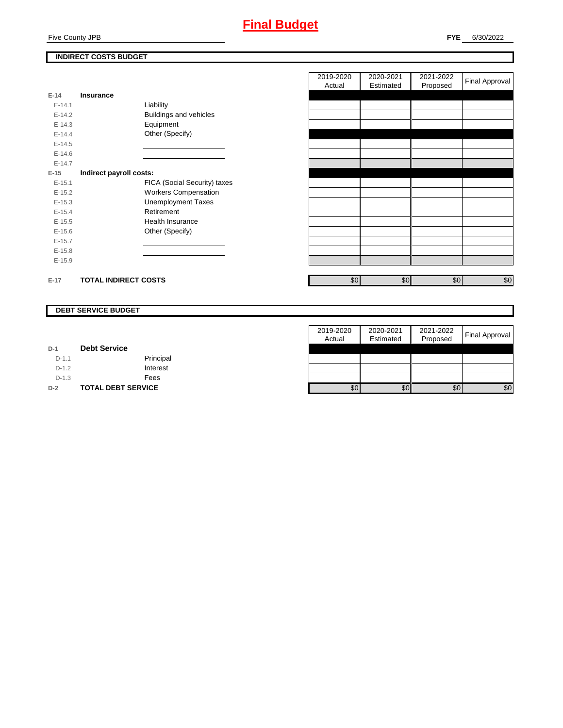#### **FYE** 6/30/2022

## **INDIRECT COSTS BUDGET**

| E-14       | Insurance                   |                               |
|------------|-----------------------------|-------------------------------|
| $F-141$    |                             | Liability                     |
| $F-142$    |                             | <b>Buildings and vehicles</b> |
| $E-14.3$   |                             | Equipment                     |
| $F-144$    |                             | Other (Specify)               |
| $F-14.5$   |                             |                               |
| $F-146$    |                             |                               |
| $F-147$    |                             |                               |
| $E-15$     | Indirect payroll costs:     |                               |
| $F-151$    |                             | FICA (Social Security) taxes  |
| $F-152$    |                             | <b>Workers Compensation</b>   |
| $E-15.3$   |                             | <b>Unemployment Taxes</b>     |
| $E-15.4$   |                             | Retirement                    |
| $E-15.5$   |                             | Health Insurance              |
| $E - 15.6$ |                             | Other (Specify)               |
| $E-15.7$   |                             |                               |
| $E-15.8$   |                             |                               |
| $E-15.9$   |                             |                               |
|            |                             |                               |
| $E-17$     | <b>TOTAL INDIRECT COSTS</b> |                               |

| 2019-2020<br>Actual | 2020-2021<br>Estimated | 2021-2022<br>Proposed | Final Approval |
|---------------------|------------------------|-----------------------|----------------|
|                     |                        |                       |                |
|                     |                        |                       |                |
|                     |                        |                       |                |
|                     |                        |                       |                |
|                     |                        |                       |                |
|                     |                        |                       |                |
|                     |                        |                       |                |
|                     |                        |                       |                |
|                     |                        |                       |                |
|                     |                        |                       |                |
|                     |                        |                       |                |
|                     |                        |                       |                |
|                     |                        |                       |                |
|                     |                        |                       |                |
|                     |                        |                       |                |
|                     |                        |                       |                |
|                     |                        |                       |                |
|                     |                        |                       |                |
| \$0                 | \$0                    | \$0                   | \$0            |

#### **DEBT SERVICE BUDGET**

|         |                           | 2019-2020 | 2020-2021 | 2021-2022 |                       |
|---------|---------------------------|-----------|-----------|-----------|-----------------------|
|         |                           | Actual    | Estimated | Proposed  | <b>Final Approval</b> |
| $D-1$   | <b>Debt Service</b>       |           |           |           |                       |
| $D-1.1$ | Principal                 |           |           |           |                       |
| $D-1.2$ | Interest                  |           |           |           |                       |
| $D-1.3$ | Fees                      |           |           |           |                       |
| $D-2$   | <b>TOTAL DEBT SERVICE</b> | \$0       | \$0       | \$0       | \$0                   |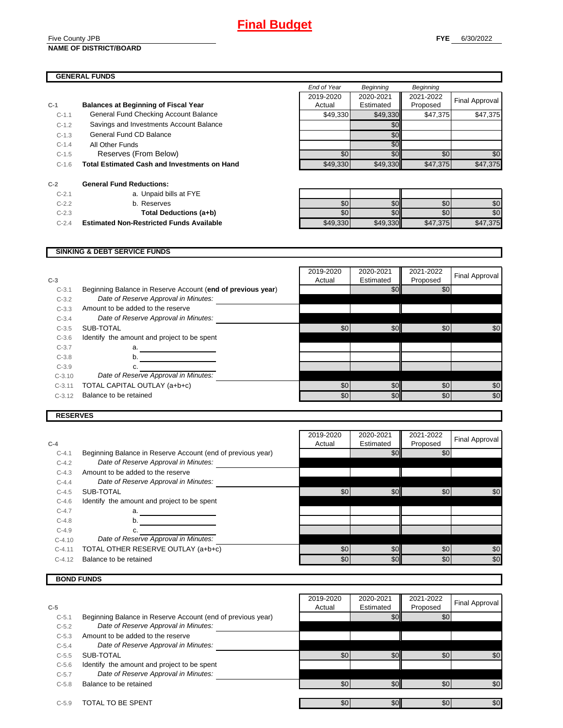# **Final Budget**

#### Five County JPB **NAME OF DISTRICT/BOARD**

### **GENERAL FUNDS**

|         | JENERAL FUNDJ                                       |             |                  |                  |                |
|---------|-----------------------------------------------------|-------------|------------------|------------------|----------------|
|         |                                                     | End of Year | Beginning        | <b>Beginning</b> |                |
|         |                                                     | 2019-2020   | 2020-2021        | 2021-2022        |                |
|         | <b>Balances at Beginning of Fiscal Year</b>         | Actual      | Estimated        | Proposed         | Final Approval |
| $C-1.1$ | General Fund Checking Account Balance               | \$49,330    | \$49,330         | \$47,375         | \$47,375       |
| $C-1.2$ | Savings and Investments Account Balance             |             | \$0 <sub>1</sub> |                  |                |
| $C-1.3$ | General Fund CD Balance                             |             | \$0              |                  |                |
| $C-1.4$ | All Other Funds                                     |             | \$0              |                  |                |
| $C-1.5$ | Reserves (From Below)                               | \$0         | \$0              | \$0              | \$0            |
| $C-1.6$ | <b>Total Estimated Cash and Investments on Hand</b> | \$49,330    | \$49,330         | \$47,375         | \$47,375       |
|         |                                                     |             |                  |                  |                |

**C-2 General Fund Reductions:** C-2.1 a. Unpaid bills at FYE C-2.3 **Total Deductions (a+b) C-2.4 Estimated Non-Restricted Funds Available** 

**C-1 Balances at Beginning of Fiscal Year**

| $C-2.1$ | a. Unpaid bills at FYE                          |          |          |          |          |
|---------|-------------------------------------------------|----------|----------|----------|----------|
| $C-2.2$ | b. Reserves                                     | \$0      | "У.      | \$0      | \$0      |
| $C-2.3$ | Total Deductions (a+b)                          | \$0      | ъu       | \$0      | \$0      |
| $C-2.4$ | <b>Estimated Non-Restricted Funds Available</b> | \$49,330 | \$49,330 | \$47,375 | \$47,375 |

#### **SINKING & DEBT SERVICE FUNDS**

| $C-3$    |                                                             | 2019-2020<br>Actual | 2020-2021<br>Estimated | 2021-2022<br>Proposed | Final Approval |
|----------|-------------------------------------------------------------|---------------------|------------------------|-----------------------|----------------|
| $C-3.1$  | Beginning Balance in Reserve Account (end of previous year) |                     | \$0                    | \$0                   |                |
| $C-3.2$  | Date of Reserve Approval in Minutes:                        |                     |                        |                       |                |
| $C-3.3$  | Amount to be added to the reserve                           |                     |                        |                       |                |
| $C-3.4$  | Date of Reserve Approval in Minutes:                        |                     |                        |                       |                |
| $C-3.5$  | SUB-TOTAL                                                   | \$0                 | \$0                    | \$0                   | \$0            |
| $C-3.6$  | Identify the amount and project to be spent                 |                     |                        |                       |                |
| $C-3.7$  | a.                                                          |                     |                        |                       |                |
| $C-3.8$  | b.                                                          |                     |                        |                       |                |
| $C-3.9$  |                                                             |                     |                        |                       |                |
| $C-3.10$ | Date of Reserve Approval in Minutes:                        |                     |                        |                       |                |
| $C-3.11$ | TOTAL CAPITAL OUTLAY (a+b+c)                                | \$0                 | \$0                    | \$0                   | \$0            |
| $C-3.12$ | Balance to be retained                                      | \$0                 | \$0                    | \$0                   | \$0            |
|          |                                                             |                     |                        |                       |                |

#### **RESERVES**

|          |                                                             | 2019-2020 | 2020-2021 | 2021-2022 | Final Approval |
|----------|-------------------------------------------------------------|-----------|-----------|-----------|----------------|
| $C-4$    |                                                             | Actual    | Estimated | Proposed  |                |
| $C-4.1$  | Beginning Balance in Reserve Account (end of previous year) |           | \$0       | \$0       |                |
| $C-4.2$  | Date of Reserve Approval in Minutes:                        |           |           |           |                |
| $C-4.3$  | Amount to be added to the reserve                           |           |           |           |                |
| $C-4.4$  | Date of Reserve Approval in Minutes:                        |           |           |           |                |
| $C-4.5$  | SUB-TOTAL                                                   | \$0       | \$0       | \$0       | \$0            |
| $C-4.6$  | Identify the amount and project to be spent                 |           |           |           |                |
| $C-4.7$  | a.                                                          |           |           |           |                |
| $C-4.8$  | b.                                                          |           |           |           |                |
| $C-4.9$  |                                                             |           |           |           |                |
| $C-4.10$ | Date of Reserve Approval in Minutes:                        |           |           |           |                |
| $C-4.11$ | TOTAL OTHER RESERVE OUTLAY (a+b+c)                          | \$0       | \$0       | \$0       | \$0            |
| $C-4.12$ | Balance to be retained                                      | \$0       | \$0       | \$0       | \$0            |

## **BOND FUNDS**

|         |                                                             | 2019-2020 | 2020-2021        | 2021-2022 | Final Approval |
|---------|-------------------------------------------------------------|-----------|------------------|-----------|----------------|
| $C-5$   |                                                             | Actual    | Estimated        | Proposed  |                |
| $C-5.1$ | Beginning Balance in Reserve Account (end of previous year) |           | \$0              | \$0       |                |
| $C-5.2$ | Date of Reserve Approval in Minutes:                        |           |                  |           |                |
| $C-5.3$ | Amount to be added to the reserve                           |           |                  |           |                |
| $C-5.4$ | Date of Reserve Approval in Minutes:                        |           |                  |           |                |
| $C-5.5$ | SUB-TOTAL                                                   | \$0       | \$0              | \$0       | \$0            |
| $C-5.6$ | Identify the amount and project to be spent                 |           |                  |           |                |
| $C-5.7$ | Date of Reserve Approval in Minutes:                        |           |                  |           |                |
| $C-5.8$ | Balance to be retained                                      | \$0       | \$0 <sub>1</sub> | \$0       | \$0            |
| $C-5.9$ | TOTAL TO BE SPENT                                           | \$0       | \$0 <sub>l</sub> | \$0       | \$0            |